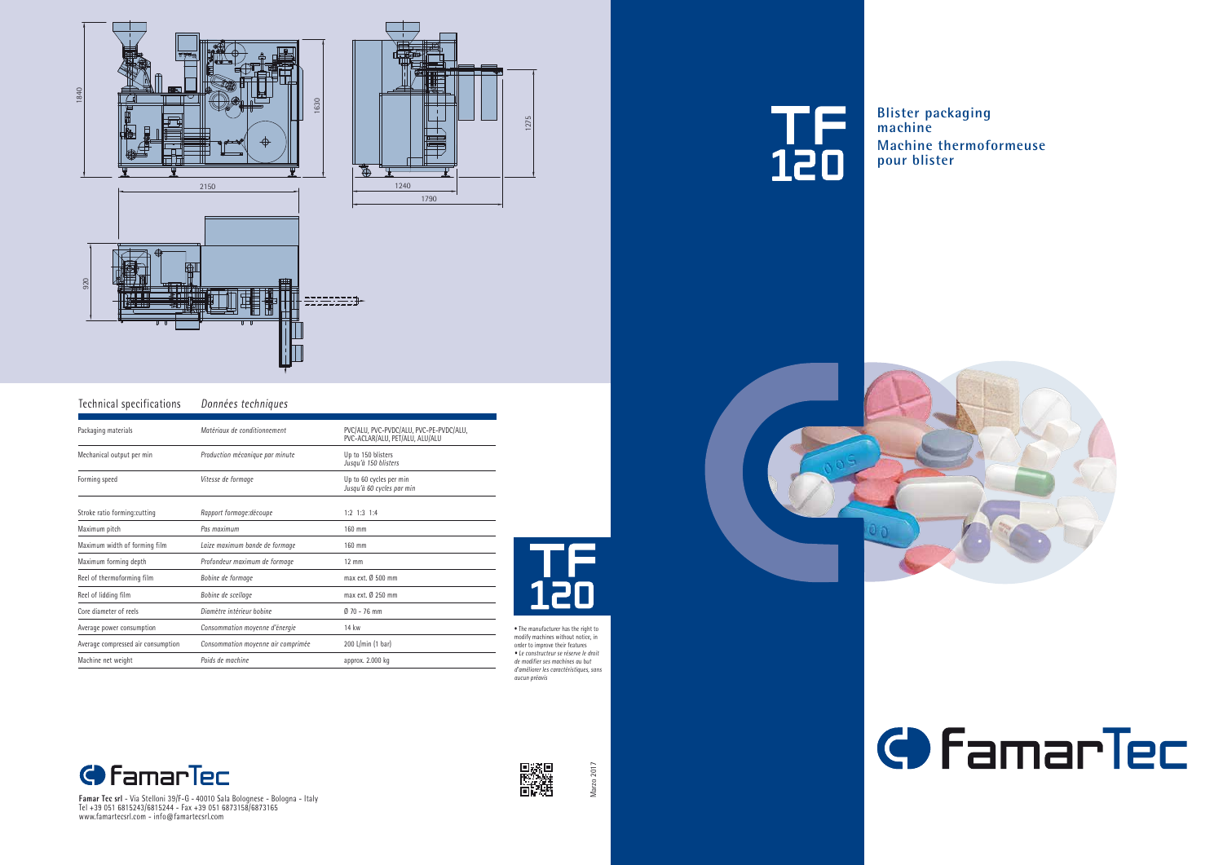Marzo 2017 Marzo 2017



| Technical specifications           | Données techniques                 |                                                                            |
|------------------------------------|------------------------------------|----------------------------------------------------------------------------|
| Packaging materials                | Matériaux de conditionnement       | PVC/ALU, PVC-PVDC/ALU, PVC-PE-PVDC/ALU,<br>PVC-ACLAR/ALU, PET/ALU, ALU/ALU |
| Mechanical output per min          | Production mécanique par minute    | Up to 150 blisters<br>Jusqu'à 150 blisters                                 |
| Forming speed                      | Vitesse de formage                 | Up to 60 cycles per min<br>Jusqu'à 60 cycles par min                       |
| Stroke ratio forming: cutting      | Rapport formage: découpe           | $1:2$ $1:3$ $1:4$                                                          |
| Maximum pitch                      | Pas maximum                        | 160 mm                                                                     |
| Maximum width of forming film      | Laize maximum bande de formage     | 160 mm                                                                     |
| Maximum forming depth              | Profondeur maximum de formage      | $12 \text{ mm}$                                                            |
| Reel of thermoforming film         | Bobine de formage                  | max ext. $\emptyset$ 500 mm                                                |
| Reel of lidding film               | Bobine de scellage                 | max ext. Ø 250 mm                                                          |
| Core diameter of reels             | Diamètre intérieur bobine          | $070 - 76$ mm                                                              |
| Average power consumption          | Consommation moyenne d'énergie     | 14 kw                                                                      |
| Average compressed air consumption | Consommation moyenne air comprimée | 200 L/min (1 bar)                                                          |
| Machine net weight                 | Poids de machine                   | approx. 2.000 kg                                                           |
|                                    |                                    |                                                                            |



**Famar Tec srl** - Via Stelloni 39/F-G - 40010 Sala Bolognese - Bologna - Italy Tel +39 051 6815243/6815244 - Fax +39 051 6873158/6873165 www.famartecsrl.com - info@famartecsrl.com



• The manufacturer has the right to modify machines without notice, in order to improve their features *• Le constructeur se réserve le droit de modifier ses machines au but d'améliorer les caractéristiques, sans aucun préavis* 









**Blister packaging Machine thermoformeuse**



## **C** Famar Tec

**machine pour blister**